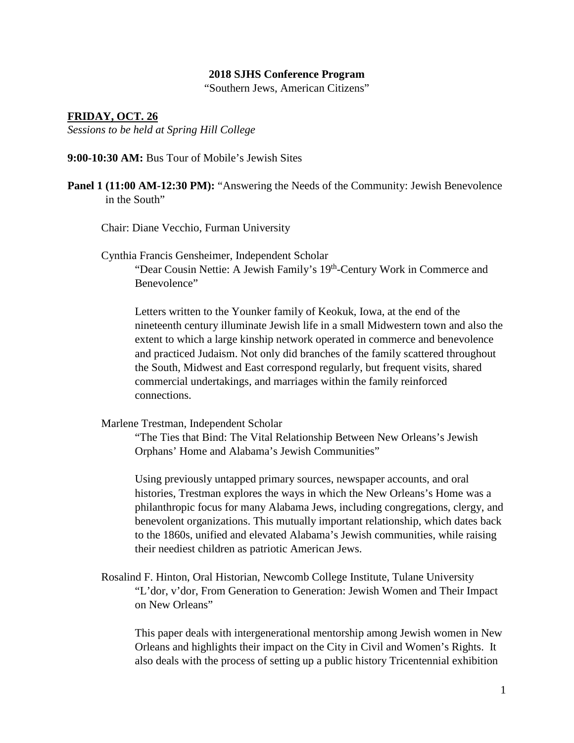### **2018 SJHS Conference Program**

"Southern Jews, American Citizens"

### **FRIDAY, OCT. 26**

*Sessions to be held at Spring Hill College*

**9:00-10:30 AM:** Bus Tour of Mobile's Jewish Sites

**Panel 1 (11:00 AM-12:30 PM):** "Answering the Needs of the Community: Jewish Benevolence in the South"

Chair: Diane Vecchio, Furman University

Cynthia Francis Gensheimer, Independent Scholar "Dear Cousin Nettie: A Jewish Family's 19th-Century Work in Commerce and Benevolence"

Letters written to the Younker family of Keokuk, Iowa, at the end of the nineteenth century illuminate Jewish life in a small Midwestern town and also the extent to which a large kinship network operated in commerce and benevolence and practiced Judaism. Not only did branches of the family scattered throughout the South, Midwest and East correspond regularly, but frequent visits, shared commercial undertakings, and marriages within the family reinforced connections.

Marlene Trestman, Independent Scholar

"The Ties that Bind: The Vital Relationship Between New Orleans's Jewish Orphans' Home and Alabama's Jewish Communities"

Using previously untapped primary sources, newspaper accounts, and oral histories, Trestman explores the ways in which the New Orleans's Home was a philanthropic focus for many Alabama Jews, including congregations, clergy, and benevolent organizations. This mutually important relationship, which dates back to the 1860s, unified and elevated Alabama's Jewish communities, while raising their neediest children as patriotic American Jews.

Rosalind F. Hinton, Oral Historian, Newcomb College Institute, Tulane University "L'dor, v'dor, From Generation to Generation: Jewish Women and Their Impact on New Orleans"

This paper deals with intergenerational mentorship among Jewish women in New Orleans and highlights their impact on the City in Civil and Women's Rights. It also deals with the process of setting up a public history Tricentennial exhibition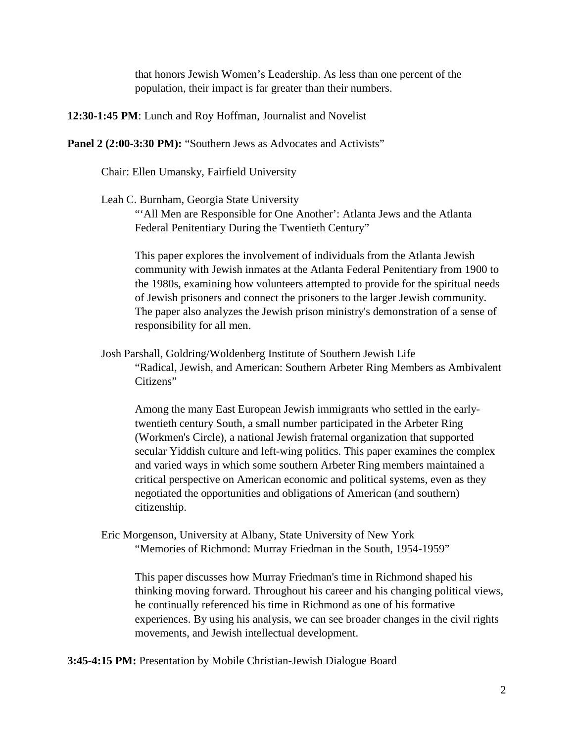that honors Jewish Women's Leadership. As less than one percent of the population, their impact is far greater than their numbers.

**12:30-1:45 PM**: Lunch and Roy Hoffman, Journalist and Novelist

**Panel 2 (2:00-3:30 PM):** "Southern Jews as Advocates and Activists"

Chair: Ellen Umansky, Fairfield University

Leah C. Burnham, Georgia State University

"'All Men are Responsible for One Another': Atlanta Jews and the Atlanta Federal Penitentiary During the Twentieth Century"

This paper explores the involvement of individuals from the Atlanta Jewish community with Jewish inmates at the Atlanta Federal Penitentiary from 1900 to the 1980s, examining how volunteers attempted to provide for the spiritual needs of Jewish prisoners and connect the prisoners to the larger Jewish community. The paper also analyzes the Jewish prison ministry's demonstration of a sense of responsibility for all men.

Josh Parshall, Goldring/Woldenberg Institute of Southern Jewish Life "Radical, Jewish, and American: Southern Arbeter Ring Members as Ambivalent Citizens"

Among the many East European Jewish immigrants who settled in the earlytwentieth century South, a small number participated in the Arbeter Ring (Workmen's Circle), a national Jewish fraternal organization that supported secular Yiddish culture and left-wing politics. This paper examines the complex and varied ways in which some southern Arbeter Ring members maintained a critical perspective on American economic and political systems, even as they negotiated the opportunities and obligations of American (and southern) citizenship.

Eric Morgenson, University at Albany, State University of New York "Memories of Richmond: Murray Friedman in the South, 1954-1959"

This paper discusses how Murray Friedman's time in Richmond shaped his thinking moving forward. Throughout his career and his changing political views, he continually referenced his time in Richmond as one of his formative experiences. By using his analysis, we can see broader changes in the civil rights movements, and Jewish intellectual development.

**3:45-4:15 PM:** Presentation by Mobile Christian-Jewish Dialogue Board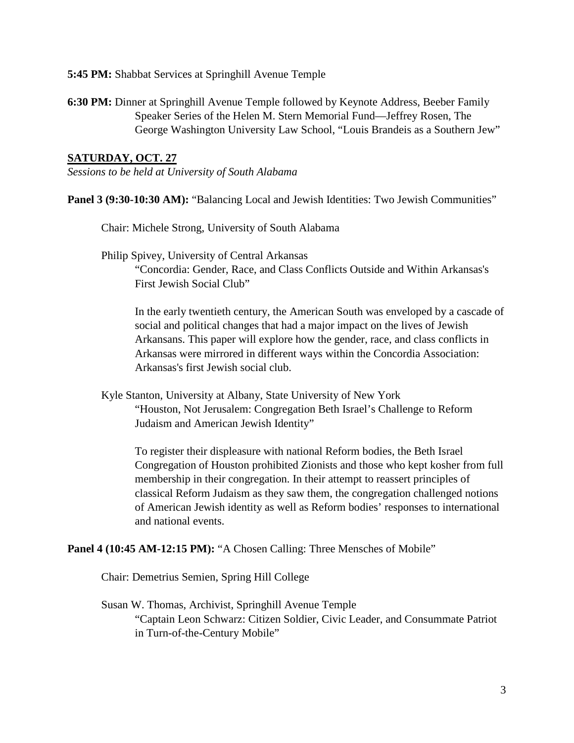**5:45 PM:** Shabbat Services at Springhill Avenue Temple

**6:30 PM:** Dinner at Springhill Avenue Temple followed by Keynote Address, Beeber Family Speaker Series of the Helen M. Stern Memorial Fund—Jeffrey Rosen, The George Washington University Law School, "Louis Brandeis as a Southern Jew"

# **SATURDAY, OCT. 27**

*Sessions to be held at University of South Alabama*

**Panel 3 (9:30-10:30 AM):** "Balancing Local and Jewish Identities: Two Jewish Communities"

Chair: Michele Strong, University of South Alabama

Philip Spivey, University of Central Arkansas "Concordia: Gender, Race, and Class Conflicts Outside and Within Arkansas's First Jewish Social Club"

In the early twentieth century, the American South was enveloped by a cascade of social and political changes that had a major impact on the lives of Jewish Arkansans. This paper will explore how the gender, race, and class conflicts in Arkansas were mirrored in different ways within the Concordia Association: Arkansas's first Jewish social club.

Kyle Stanton, University at Albany, State University of New York "Houston, Not Jerusalem: Congregation Beth Israel's Challenge to Reform Judaism and American Jewish Identity"

To register their displeasure with national Reform bodies, the Beth Israel Congregation of Houston prohibited Zionists and those who kept kosher from full membership in their congregation. In their attempt to reassert principles of classical Reform Judaism as they saw them, the congregation challenged notions of American Jewish identity as well as Reform bodies' responses to international and national events.

## **Panel 4 (10:45 AM-12:15 PM):** "A Chosen Calling: Three Mensches of Mobile"

Chair: Demetrius Semien, Spring Hill College

Susan W. Thomas, Archivist, Springhill Avenue Temple "Captain Leon Schwarz: Citizen Soldier, Civic Leader, and Consummate Patriot in Turn-of-the-Century Mobile"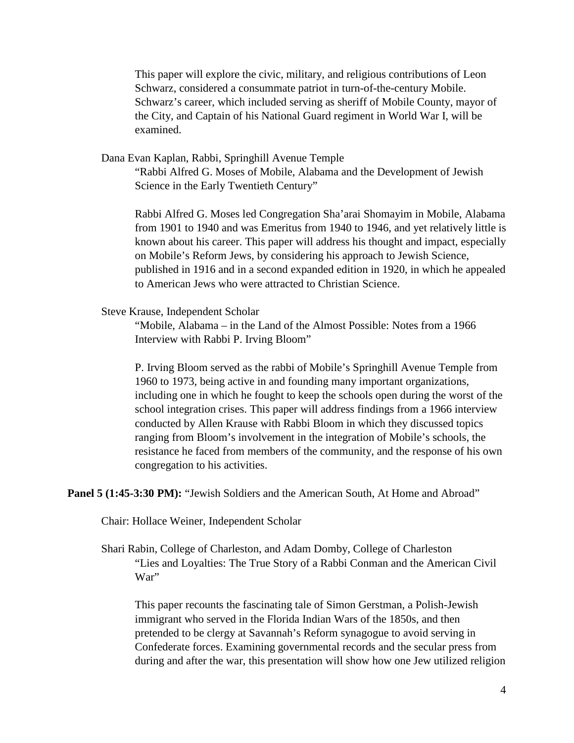This paper will explore the civic, military, and religious contributions of Leon Schwarz, considered a consummate patriot in turn-of-the-century Mobile. Schwarz's career, which included serving as sheriff of Mobile County, mayor of the City, and Captain of his National Guard regiment in World War I, will be examined.

Dana Evan Kaplan, Rabbi, Springhill Avenue Temple

"Rabbi Alfred G. Moses of Mobile, Alabama and the Development of Jewish Science in the Early Twentieth Century"

Rabbi Alfred G. Moses led Congregation Sha'arai Shomayim in Mobile, Alabama from 1901 to 1940 and was Emeritus from 1940 to 1946, and yet relatively little is known about his career. This paper will address his thought and impact, especially on Mobile's Reform Jews, by considering his approach to Jewish Science, published in 1916 and in a second expanded edition in 1920, in which he appealed to American Jews who were attracted to Christian Science.

Steve Krause, Independent Scholar

"Mobile, Alabama – in the Land of the Almost Possible: Notes from a 1966 Interview with Rabbi P. Irving Bloom"

P. Irving Bloom served as the rabbi of Mobile's Springhill Avenue Temple from 1960 to 1973, being active in and founding many important organizations, including one in which he fought to keep the schools open during the worst of the school integration crises. This paper will address findings from a 1966 interview conducted by Allen Krause with Rabbi Bloom in which they discussed topics ranging from Bloom's involvement in the integration of Mobile's schools, the resistance he faced from members of the community, and the response of his own congregation to his activities.

**Panel 5 (1:45-3:30 PM):** "Jewish Soldiers and the American South, At Home and Abroad"

Chair: Hollace Weiner, Independent Scholar

Shari Rabin, College of Charleston, and Adam Domby, College of Charleston "Lies and Loyalties: The True Story of a Rabbi Conman and the American Civil War"

This paper recounts the fascinating tale of Simon Gerstman, a Polish-Jewish immigrant who served in the Florida Indian Wars of the 1850s, and then pretended to be clergy at Savannah's Reform synagogue to avoid serving in Confederate forces. Examining governmental records and the secular press from during and after the war, this presentation will show how one Jew utilized religion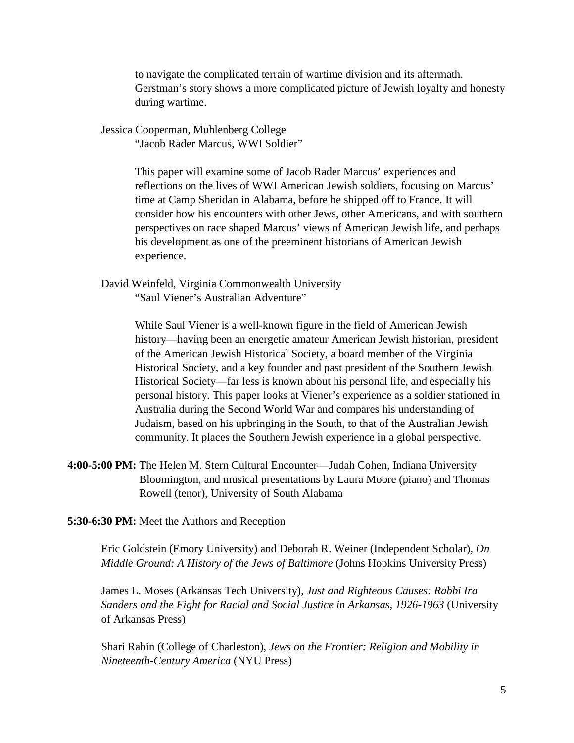to navigate the complicated terrain of wartime division and its aftermath. Gerstman's story shows a more complicated picture of Jewish loyalty and honesty during wartime.

Jessica Cooperman, Muhlenberg College

"Jacob Rader Marcus, WWI Soldier"

This paper will examine some of Jacob Rader Marcus' experiences and reflections on the lives of WWI American Jewish soldiers, focusing on Marcus' time at Camp Sheridan in Alabama, before he shipped off to France. It will consider how his encounters with other Jews, other Americans, and with southern perspectives on race shaped Marcus' views of American Jewish life, and perhaps his development as one of the preeminent historians of American Jewish experience.

David Weinfeld, Virginia Commonwealth University "Saul Viener's Australian Adventure"

> While Saul Viener is a well-known figure in the field of American Jewish history—having been an energetic amateur American Jewish historian, president of the American Jewish Historical Society, a board member of the Virginia Historical Society, and a key founder and past president of the Southern Jewish Historical Society—far less is known about his personal life, and especially his personal history. This paper looks at Viener's experience as a soldier stationed in Australia during the Second World War and compares his understanding of Judaism, based on his upbringing in the South, to that of the Australian Jewish community. It places the Southern Jewish experience in a global perspective.

**4:00-5:00 PM:** The Helen M. Stern Cultural Encounter—Judah Cohen, Indiana University Bloomington, and musical presentations by Laura Moore (piano) and Thomas Rowell (tenor), University of South Alabama

**5:30-6:30 PM:** Meet the Authors and Reception

Eric Goldstein (Emory University) and Deborah R. Weiner (Independent Scholar), *On Middle Ground: A History of the Jews of Baltimore* (Johns Hopkins University Press)

James L. Moses (Arkansas Tech University), *Just and Righteous Causes: Rabbi Ira Sanders and the Fight for Racial and Social Justice in Arkansas, 1926-1963* (University of Arkansas Press)

Shari Rabin (College of Charleston), *Jews on the Frontier: Religion and Mobility in Nineteenth-Century America* (NYU Press)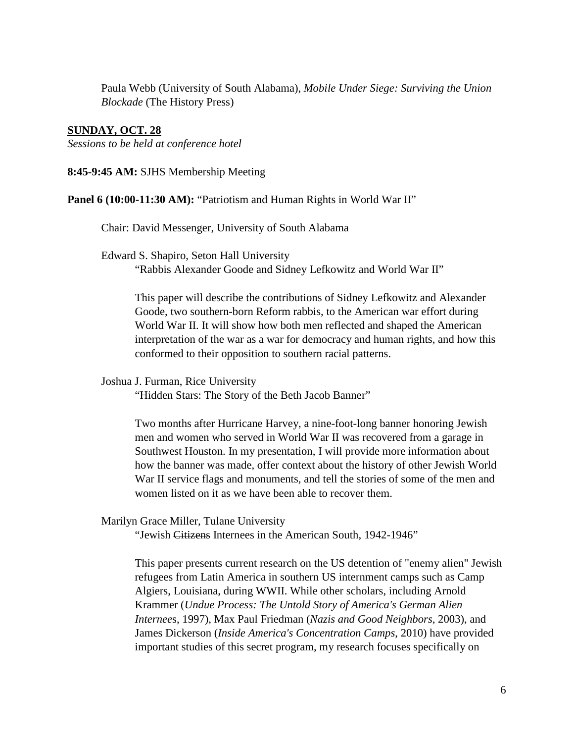Paula Webb (University of South Alabama), *Mobile Under Siege: Surviving the Union Blockade* (The History Press)

### **SUNDAY, OCT. 28**

*Sessions to be held at conference hotel*

**8:45-9:45 AM:** SJHS Membership Meeting

**Panel 6** (10:00-11:30 AM): "Patriotism and Human Rights in World War II"

Chair: David Messenger, University of South Alabama

Edward S. Shapiro, Seton Hall University

"Rabbis Alexander Goode and Sidney Lefkowitz and World War II"

This paper will describe the contributions of Sidney Lefkowitz and Alexander Goode, two southern-born Reform rabbis, to the American war effort during World War II. It will show how both men reflected and shaped the American interpretation of the war as a war for democracy and human rights, and how this conformed to their opposition to southern racial patterns.

Joshua J. Furman, Rice University

"Hidden Stars: The Story of the Beth Jacob Banner"

Two months after Hurricane Harvey, a nine-foot-long banner honoring Jewish men and women who served in World War II was recovered from a garage in Southwest Houston. In my presentation, I will provide more information about how the banner was made, offer context about the history of other Jewish World War II service flags and monuments, and tell the stories of some of the men and women listed on it as we have been able to recover them.

Marilyn Grace Miller, Tulane University

"Jewish Citizens Internees in the American South, 1942-1946"

This paper presents current research on the US detention of "enemy alien" Jewish refugees from Latin America in southern US internment camps such as Camp Algiers, Louisiana, during WWII. While other scholars, including Arnold Krammer (*Undue Process: The Untold Story of America's German Alien Internee*s, 1997), Max Paul Friedman (*Nazis and Good Neighbors*, 2003), and James Dickerson (*Inside America's Concentration Camps*, 2010) have provided important studies of this secret program, my research focuses specifically on